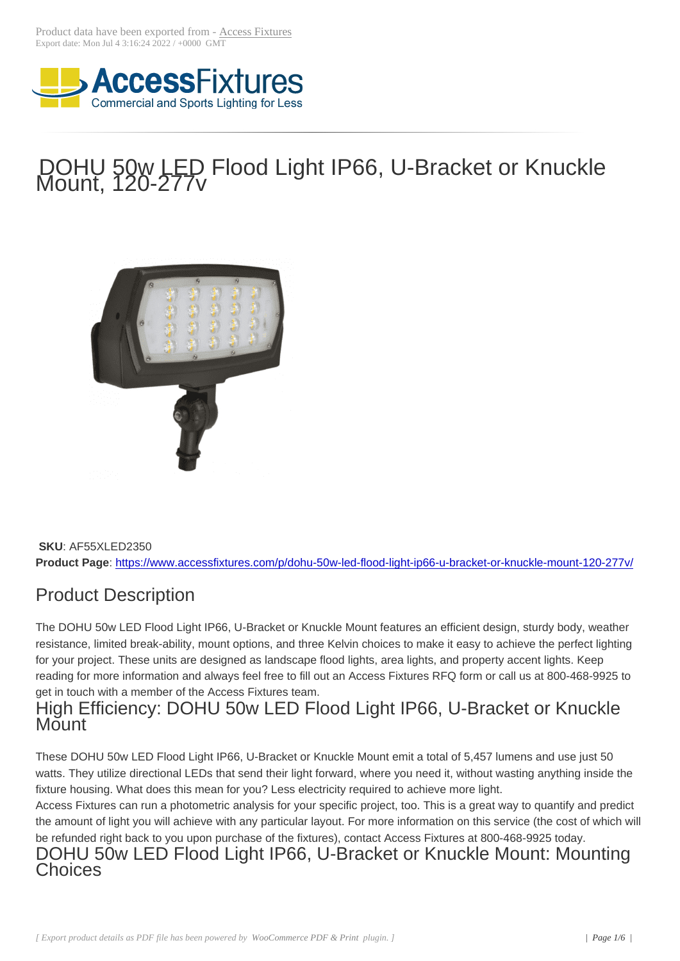

# DOHU 50w LED Flood Light IP66, U-Bracket or Knuckle Mount, 120-277v



**SKU**: AF55XLED2350 **Product Page**: https://www.accessfixtures.com/p/dohu-50w-led-flood-light-ip66-u-bracket-or-knuckle-mount-120-277v/

## Product Description

The DOHU 50[w LED Flood Light IP66, U-Bracket or Knuckle Mount features an efficient design, sturdy body, weather](https://www.accessfixtures.com/p/dohu-50w-led-flood-light-ip66-u-bracket-or-knuckle-mount-120-277v/) resistance, limited break-ability, mount options, and three Kelvin choices to make it easy to achieve the perfect lighting for your project. These units are designed as landscape flood lights, area lights, and property accent lights. Keep reading for more information and always feel free to fill out an Access Fixtures RFQ form or call us at 800-468-9925 to get in touch with a member of the Access Fixtures team.

#### High Efficiency: DOHU 50w LED Flood Light IP66, U-Bracket or Knuckle **Mount**

These DOHU 50w LED Flood Light IP66, U-Bracket or Knuckle Mount emit a total of 5,457 lumens and use just 50 watts. They utilize directional LEDs that send their light forward, where you need it, without wasting anything inside the fixture housing. What does this mean for you? Less electricity required to achieve more light.

Access Fixtures can run a photometric analysis for your specific project, too. This is a great way to quantify and predict the amount of light you will achieve with any particular layout. For more information on this service (the cost of which will be refunded right back to you upon purchase of the fixtures), contact Access Fixtures at 800-468-9925 today.

#### DOHU 50w LED Flood Light IP66, U-Bracket or Knuckle Mount: Mounting Choices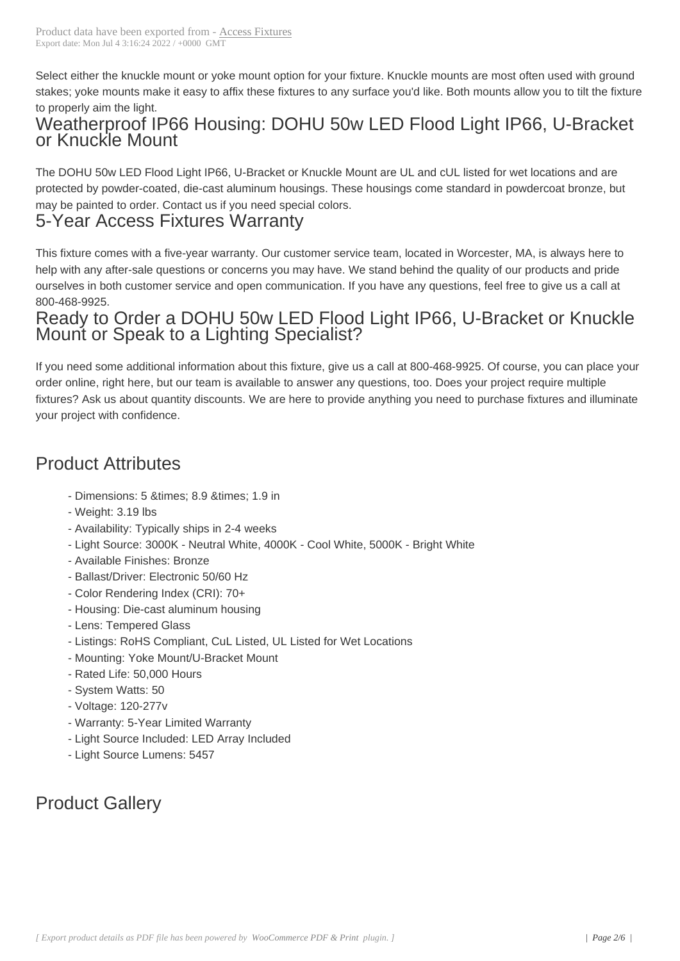Select either the knuckle mount or yoke mount option for your fixture. Knuckle mounts are most often used with ground stakes; yoke mounts make it easy t[o affix these fixt](https://www.accessfixtures.com/?post_type=product&p=87530)ures to any surface you'd like. Both mounts allow you to tilt the fixture to properly aim the light.

#### Weatherproof IP66 Housing: DOHU 50w LED Flood Light IP66, U-Bracket or Knuckle Mount

The DOHU 50w LED Flood Light IP66, U-Bracket or Knuckle Mount are UL and cUL listed for wet locations and are protected by powder-coated, die-cast aluminum housings. These housings come standard in powdercoat bronze, but may be painted to order. Contact us if you need special colors.

#### 5-Year Access Fixtures Warranty

This fixture comes with a five-year warranty. Our customer service team, located in Worcester, MA, is always here to help with any after-sale questions or concerns you may have. We stand behind the quality of our products and pride ourselves in both customer service and open communication. If you have any questions, feel free to give us a call at 800-468-9925.

#### Ready to Order a DOHU 50w LED Flood Light IP66, U-Bracket or Knuckle Mount or Speak to a Lighting Specialist?

If you need some additional information about this fixture, give us a call at 800-468-9925. Of course, you can place your order online, right here, but our team is available to answer any questions, too. Does your project require multiple fixtures? Ask us about quantity discounts. We are here to provide anything you need to purchase fixtures and illuminate your project with confidence.

### Product Attributes

- Dimensions: 5 & times; 8.9 & times; 1.9 in
- Weight: 3.19 lbs
- Availability: Typically ships in 2-4 weeks
- Light Source: 3000K Neutral White, 4000K Cool White, 5000K Bright White
- Available Finishes: Bronze
- Ballast/Driver: Electronic 50/60 Hz
- Color Rendering Index (CRI): 70+
- Housing: Die-cast aluminum housing
- Lens: Tempered Glass
- Listings: RoHS Compliant, CuL Listed, UL Listed for Wet Locations
- Mounting: Yoke Mount/U-Bracket Mount
- Rated Life: 50,000 Hours
- System Watts: 50
- Voltage: 120-277v
- Warranty: 5-Year Limited Warranty
- Light Source Included: LED Array Included
- Light Source Lumens: 5457

### Product Gallery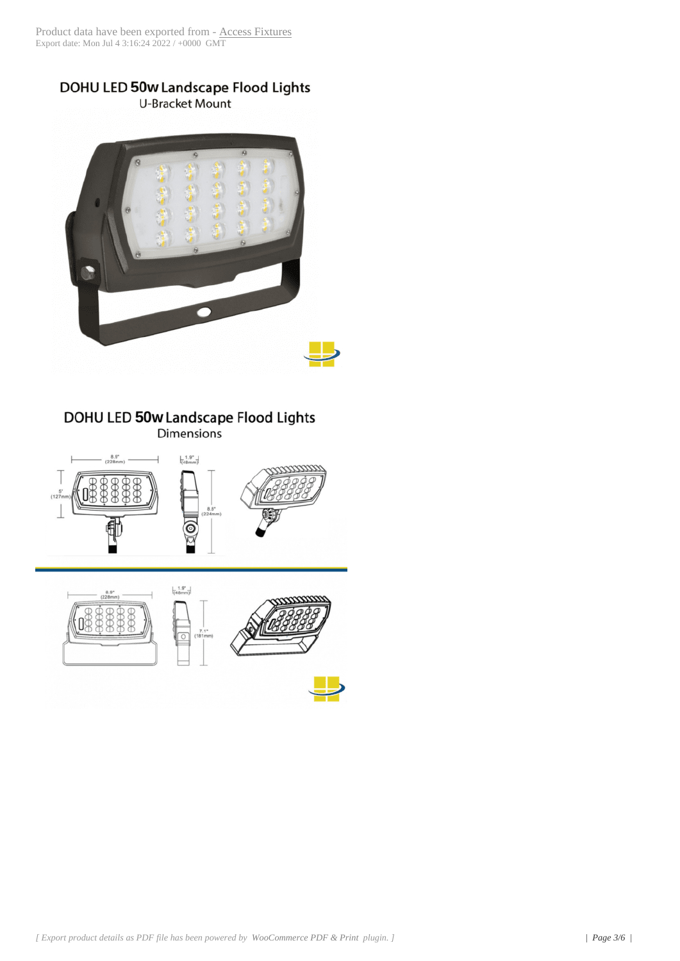# DOHU LED 50w Landscape Flood Lights<br>U-Bracket Mount



# DOHU LED 50w Landscape Flood Lights<br>Dimensions



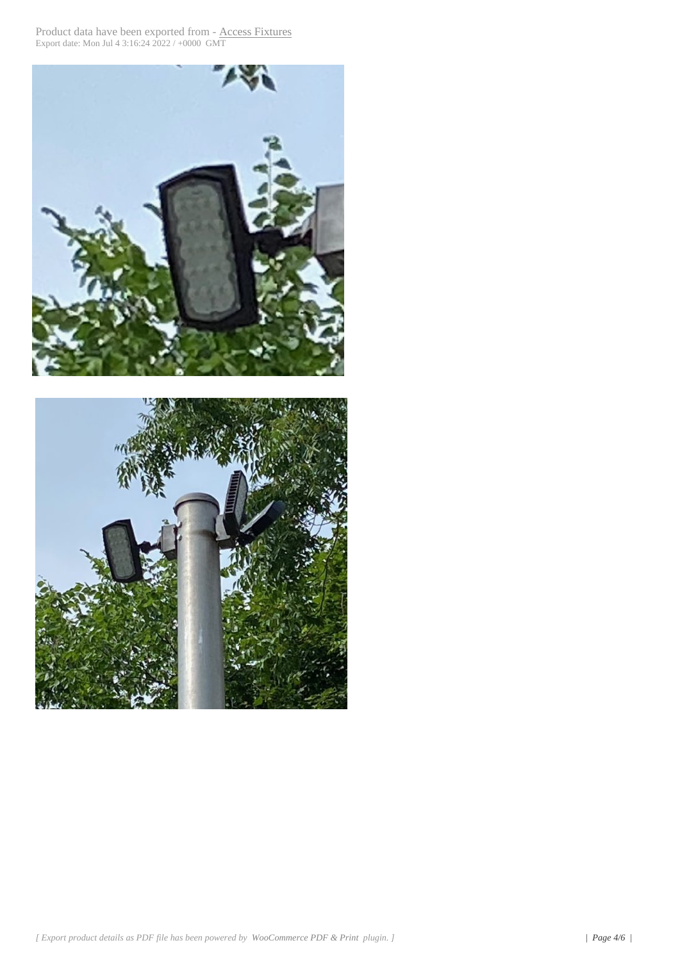

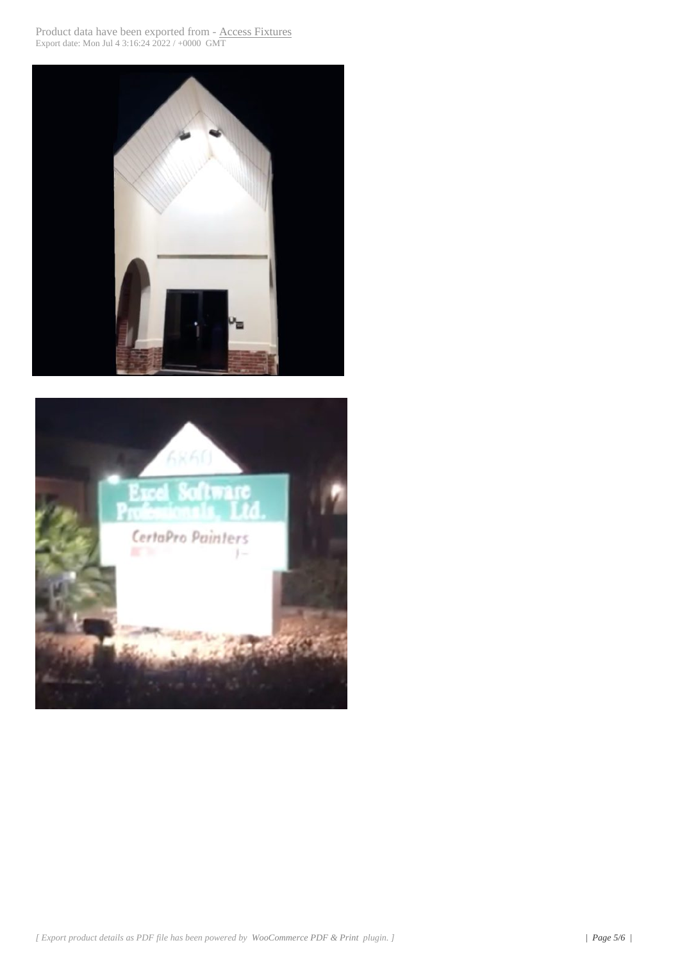